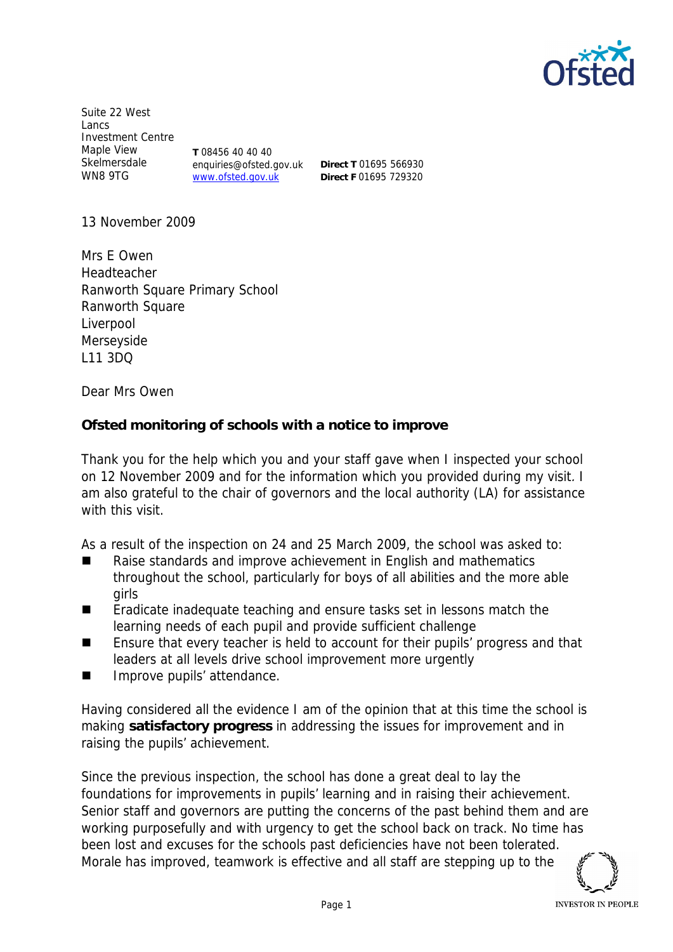

Suite 22 West Lancs Investment Centre Maple View Skelmersdale WN8 9TG **T** 08456 40 40 40 www.ofsted.gov.uk

enquiries@ofsted.gov.uk

**Direct T** 01695 566930 **Direct F** 01695 729320

13 November 2009

Mrs E Owen Headteacher Ranworth Square Primary School Ranworth Square Liverpool Merseyside L11 3DQ

Dear Mrs Owen

**Ofsted monitoring of schools with a notice to improve**

Thank you for the help which you and your staff gave when I inspected your school on 12 November 2009 and for the information which you provided during my visit. I am also grateful to the chair of governors and the local authority (LA) for assistance with this visit.

As a result of the inspection on 24 and 25 March 2009, the school was asked to:

- Raise standards and improve achievement in English and mathematics throughout the school, particularly for boys of all abilities and the more able girls
- Eradicate inadequate teaching and ensure tasks set in lessons match the learning needs of each pupil and provide sufficient challenge
- Ensure that every teacher is held to account for their pupils' progress and that leaders at all levels drive school improvement more urgently
- **Improve pupils' attendance.**

Having considered all the evidence I am of the opinion that at this time the school is making **satisfactory progress** in addressing the issues for improvement and in raising the pupils' achievement.

Since the previous inspection, the school has done a great deal to lay the foundations for improvements in pupils' learning and in raising their achievement. Senior staff and governors are putting the concerns of the past behind them and are working purposefully and with urgency to get the school back on track. No time has been lost and excuses for the schools past deficiencies have not been tolerated. Morale has improved, teamwork is effective and all staff are stepping up to the

**INVESTOR IN PEOPLE**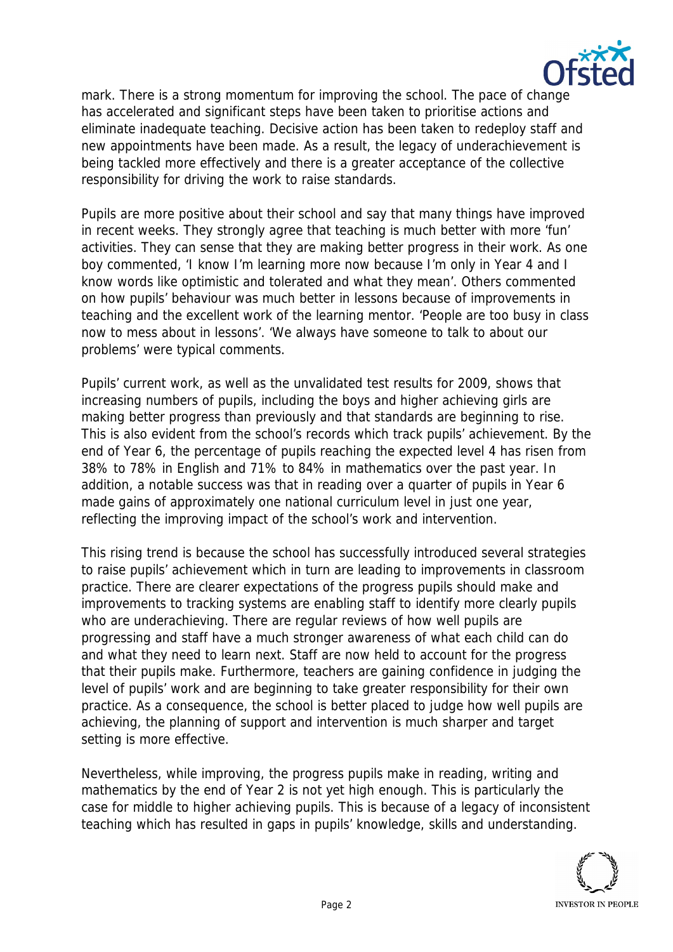

mark. There is a strong momentum for improving the school. The pace of change has accelerated and significant steps have been taken to prioritise actions and eliminate inadequate teaching. Decisive action has been taken to redeploy staff and new appointments have been made. As a result, the legacy of underachievement is being tackled more effectively and there is a greater acceptance of the collective responsibility for driving the work to raise standards.

Pupils are more positive about their school and say that many things have improved in recent weeks. They strongly agree that teaching is much better with more 'fun' activities. They can sense that they are making better progress in their work. As one boy commented, 'I know I'm learning more now because I'm only in Year 4 and I know words like optimistic and tolerated and what they mean'. Others commented on how pupils' behaviour was much better in lessons because of improvements in teaching and the excellent work of the learning mentor. 'People are too busy in class now to mess about in lessons'. 'We always have someone to talk to about our problems' were typical comments.

Pupils' current work, as well as the unvalidated test results for 2009, shows that increasing numbers of pupils, including the boys and higher achieving girls are making better progress than previously and that standards are beginning to rise. This is also evident from the school's records which track pupils' achievement. By the end of Year 6, the percentage of pupils reaching the expected level 4 has risen from 38% to 78% in English and 71% to 84% in mathematics over the past year. In addition, a notable success was that in reading over a quarter of pupils in Year 6 made gains of approximately one national curriculum level in just one year, reflecting the improving impact of the school's work and intervention.

This rising trend is because the school has successfully introduced several strategies to raise pupils' achievement which in turn are leading to improvements in classroom practice. There are clearer expectations of the progress pupils should make and improvements to tracking systems are enabling staff to identify more clearly pupils who are underachieving. There are regular reviews of how well pupils are progressing and staff have a much stronger awareness of what each child can do and what they need to learn next. Staff are now held to account for the progress that their pupils make. Furthermore, teachers are gaining confidence in judging the level of pupils' work and are beginning to take greater responsibility for their own practice. As a consequence, the school is better placed to judge how well pupils are achieving, the planning of support and intervention is much sharper and target setting is more effective.

Nevertheless, while improving, the progress pupils make in reading, writing and mathematics by the end of Year 2 is not yet high enough. This is particularly the case for middle to higher achieving pupils. This is because of a legacy of inconsistent teaching which has resulted in gaps in pupils' knowledge, skills and understanding.